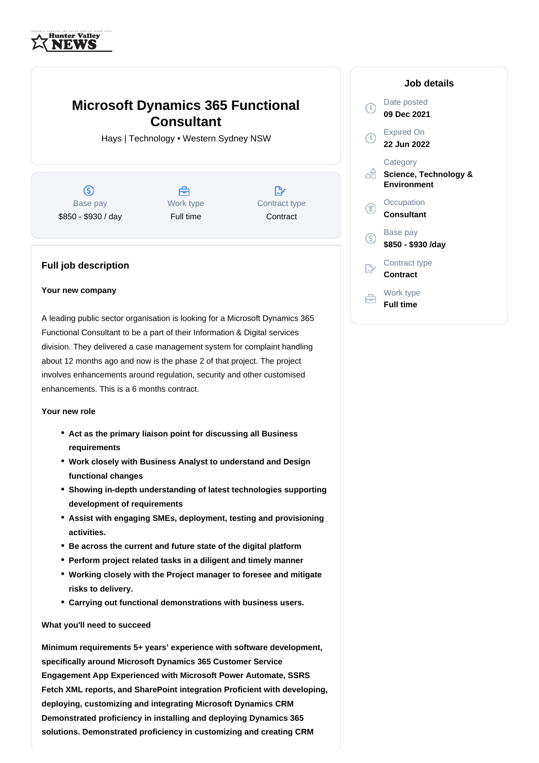

# **Microsoft Dynamics 365 Functional Consultant**

Hays | Technology • Western Sydney NSW



## **Full job description**

### **Your new company**

A leading public sector organisation is looking for a Microsoft Dynamics 365 Functional Consultant to be a part of their Information & Digital services division. They delivered a case management system for complaint handling about 12 months ago and now is the phase 2 of that project. The project involves enhancements around regulation, security and other customised enhancements. This is a 6 months contract.

### **Your new role**

- **Act as the primary liaison point for discussing all Business requirements**
- **Work closely with Business Analyst to understand and Design functional changes**
- **Showing in-depth understanding of latest technologies supporting development of requirements**
- **Assist with engaging SMEs, deployment, testing and provisioning activities.**
- **Be across the current and future state of the digital platform**
- **Perform project related tasks in a diligent and timely manner**
- **Working closely with the Project manager to foresee and mitigate risks to delivery.**
- **Carrying out functional demonstrations with business users.**

#### **What you'll need to succeed**

**Minimum requirements 5+ years' experience with software development, specifically around Microsoft Dynamics 365 Customer Service Engagement App Experienced with Microsoft Power Automate, SSRS Fetch XML reports, and SharePoint integration Proficient with developing, deploying, customizing and integrating Microsoft Dynamics CRM Demonstrated proficiency in installing and deploying Dynamics 365 solutions. Demonstrated proficiency in customizing and creating CRM**